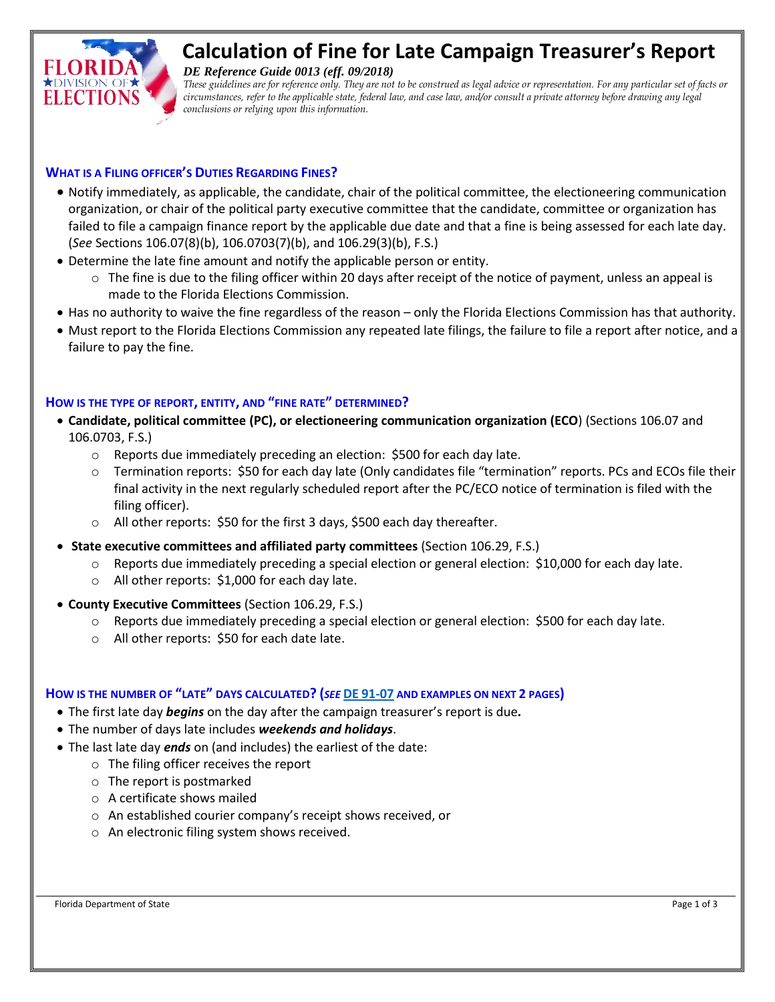

# **Calculation of Fine for Late Campaign Treasurer's Report**

*DE Reference Guide 0013 (eff. 09/2018)*

*These guidelines are for reference only. They are not to be construed as legal advice or representation. For any particular set of facts or circumstances, refer to the applicable state, federal law, and case law, and/or consult a private attorney before drawing any legal conclusions or relying upon this information.*

## **WHAT IS A FILING OFFICER'S DUTIES REGARDING FINES?**

- Notify immediately, as applicable, the candidate, chair of the political committee, the electioneering communication organization, or chair of the political party executive committee that the candidate, committee or organization has failed to file a campaign finance report by the applicable due date and that a fine is being assessed for each late day. (*See* Sections 106.07(8)(b), 106.0703(7)(b), and 106.29(3)(b), F.S.)
- Determine the late fine amount and notify the applicable person or entity.
	- $\circ$  The fine is due to the filing officer within 20 days after receipt of the notice of payment, unless an appeal is made to the Florida Elections Commission.
- Has no authority to waive the fine regardless of the reason only the Florida Elections Commission has that authority.
- Must report to the Florida Elections Commission any repeated late filings, the failure to file a report after notice, and a failure to pay the fine.

## **HOW IS THE TYPE OF REPORT, ENTITY, AND "FINE RATE" DETERMINED?**

- **Candidate, political committee (PC), or electioneering communication organization (ECO**) (Sections 106.07 and 106.0703, F.S.)
	- o Reports due immediately preceding an election: \$500 for each day late.
	- o Termination reports: \$50 for each day late (Only candidates file "termination" reports. PCs and ECOs file their final activity in the next regularly scheduled report after the PC/ECO notice of termination is filed with the filing officer).
	- o All other reports: \$50 for the first 3 days, \$500 each day thereafter.
- **State executive committees and affiliated party committees** (Section 106.29, F.S.)
	- $\circ$  Reports due immediately preceding a special election or general election: \$10,000 for each day late.
	- o All other reports: \$1,000 for each day late.
- **County Executive Committees** (Section 106.29, F.S.)
	- o Reports due immediately preceding a special election or general election: \$500 for each day late.
	- o All other reports: \$50 for each date late.

## **HOW IS THE NUMBER OF "LATE" DAYS CALCULATED? (***SEE* **DE [91-07](http://election.myflorida.com/opinions/new/1991/de9107.pdf) AND EXAMPLES ON NEXT 2 PAGES)**

- The first late day *begins* on the day after the campaign treasurer's report is due*.*
- The number of days late includes *weekends and holidays*.
- The last late day *ends* on (and includes) the earliest of the date:
	- o The filing officer receives the report
	- o The report is postmarked
	- o A certificate shows mailed
	- o An established courier company's receipt shows received, or
	- o An electronic filing system shows received.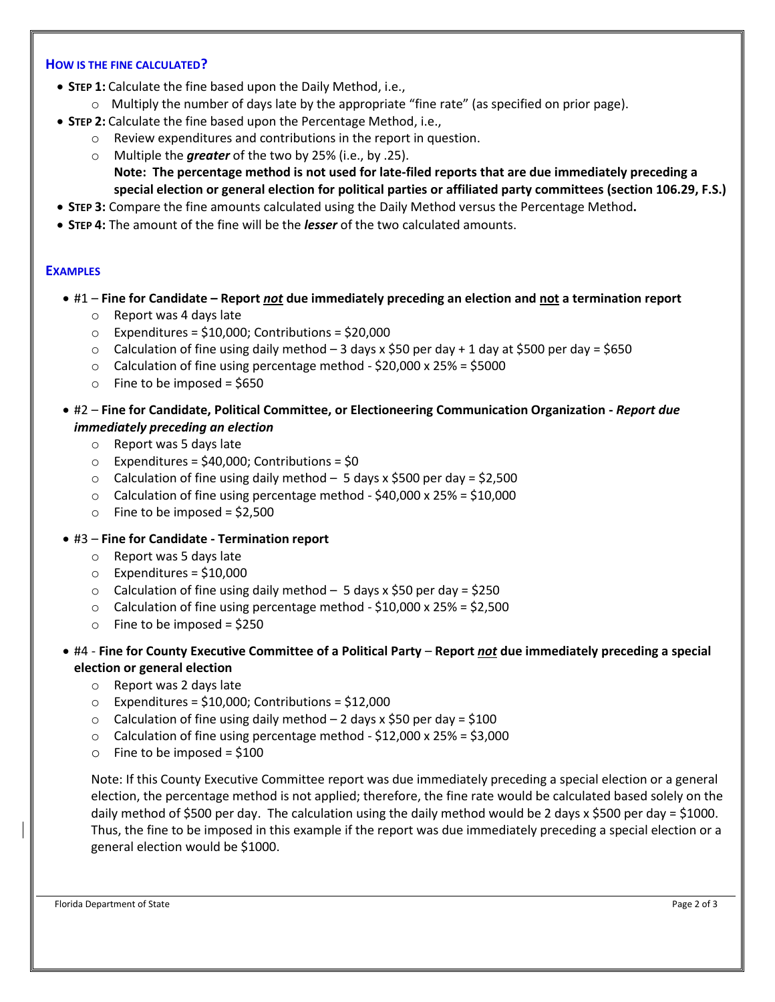#### **HOW IS THE FINE CALCULATED?**

- **STEP 1:** Calculate the fine based upon the Daily Method, i.e.,
	- $\circ$  Multiply the number of days late by the appropriate "fine rate" (as specified on prior page).
- **STEP 2:** Calculate the fine based upon the Percentage Method, i.e.,
	- o Review expenditures and contributions in the report in question.
		- o Multiple the *greater* of the two by 25% (i.e., by .25). **Note: The percentage method is not used for late-filed reports that are due immediately preceding a special election or general election for political parties or affiliated party committees (section 106.29, F.S.)**
- **STEP 3:** Compare the fine amounts calculated using the Daily Method versus the Percentage Method**.**
- **STEP 4:** The amount of the fine will be the *lesser* of the two calculated amounts.

#### **EXAMPLES**

- #1 **Fine for Candidate – Report** *not* **due immediately preceding an election and not a termination report**
	- o Report was 4 days late
	- $\circ$  Expenditures = \$10,000; Contributions = \$20,000
	- $\circ$  Calculation of fine using daily method 3 days x \$50 per day + 1 day at \$500 per day = \$650
	- $\circ$  Calculation of fine using percentage method \$20,000 x 25% = \$5000
	- $\circ$  Fine to be imposed = \$650
- #2 **Fine for Candidate, Political Committee, or Electioneering Communication Organization -** *Report due immediately preceding an election*
	- o Report was 5 days late
	- $\circ$  Expenditures = \$40,000; Contributions = \$0
	- $\circ$  Calculation of fine using daily method 5 days x \$500 per day = \$2,500
	- $\circ$  Calculation of fine using percentage method \$40,000 x 25% = \$10,000
	- $\circ$  Fine to be imposed = \$2,500
- #3 **Fine for Candidate - Termination report**
	- o Report was 5 days late
	- $\circ$  Expenditures = \$10,000
	- $\circ$  Calculation of fine using daily method 5 days x \$50 per day = \$250
	- $\circ$  Calculation of fine using percentage method \$10,000 x 25% = \$2,500
	- $\circ$  Fine to be imposed = \$250
- #4 **Fine for County Executive Committee of a Political Party Report** *not* **due immediately preceding a special election or general election**
	- o Report was 2 days late
	- $\circ$  Expenditures = \$10,000; Contributions = \$12,000
	- $\circ$  Calculation of fine using daily method 2 days x \$50 per day = \$100
	- $\circ$  Calculation of fine using percentage method \$12,000 x 25% = \$3,000
	- $\circ$  Fine to be imposed = \$100

Note: If this County Executive Committee report was due immediately preceding a special election or a general election, the percentage method is not applied; therefore, the fine rate would be calculated based solely on the daily method of \$500 per day. The calculation using the daily method would be 2 days x \$500 per day = \$1000. Thus, the fine to be imposed in this example if the report was due immediately preceding a special election or a general election would be \$1000.